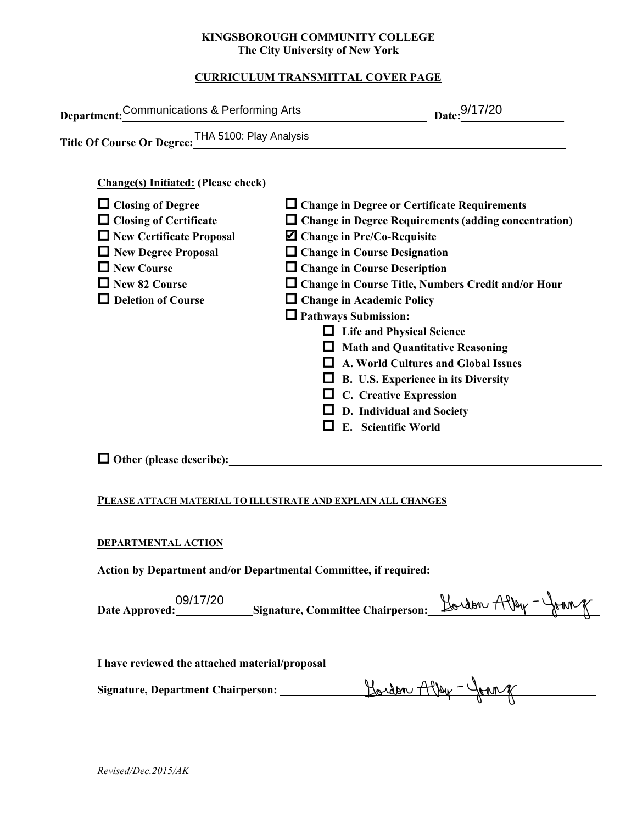#### **KINGSBOROUGH COMMUNITY COLLEGE The City University of New York**

## **CURRICULUM TRANSMITTAL COVER PAGE**

| Department: Communications & Performing Arts                                                                                                                                                                                                                                               | Date: 9/17/20                                                                                                                                                                                                                                                                                                                                                                                                                                                                                                |  |
|--------------------------------------------------------------------------------------------------------------------------------------------------------------------------------------------------------------------------------------------------------------------------------------------|--------------------------------------------------------------------------------------------------------------------------------------------------------------------------------------------------------------------------------------------------------------------------------------------------------------------------------------------------------------------------------------------------------------------------------------------------------------------------------------------------------------|--|
| Title Of Course Or Degree: THA 5100: Play Analysis<br><b>Change(s)</b> Initiated: (Please check)<br>$\Box$ Closing of Degree<br>$\Box$ Closing of Certificate<br>New Certificate Proposal<br>$\Box$ New Degree Proposal<br>$\Box$ New Course<br>New 82 Course<br>$\Box$ Deletion of Course | $\Box$ Change in Degree or Certificate Requirements<br>□ Change in Degree Requirements (adding concentration)<br><b><math>\blacksquare</math></b> Change in Pre/Co-Requisite<br>$\Box$ Change in Course Designation<br>$\Box$ Change in Course Description<br>□ Change in Course Title, Numbers Credit and/or Hour<br>$\Box$ Change in Academic Policy<br>$\Box$ Pathways Submission:<br>□ Life and Physical Science<br>$\Box$ Math and Quantitative Reasoning<br>$\Box$ A. World Cultures and Global Issues |  |
|                                                                                                                                                                                                                                                                                            | $\Box$ B. U.S. Experience in its Diversity<br>$\Box$ C. Creative Expression<br>$\Box$ D. Individual and Society<br>E. Scientific World                                                                                                                                                                                                                                                                                                                                                                       |  |
| $\Box$ Other (please describe): $\Box$<br>PLEASE ATTACH MATERIAL TO ILLUSTRATE AND EXPLAIN ALL CHANGES                                                                                                                                                                                     |                                                                                                                                                                                                                                                                                                                                                                                                                                                                                                              |  |
| DEPARTMENTAL ACTION<br>Action by Department and/or Departmental Committee, if required:                                                                                                                                                                                                    |                                                                                                                                                                                                                                                                                                                                                                                                                                                                                                              |  |
| 09/17/20                                                                                                                                                                                                                                                                                   | Hardon, Alley - JAHN                                                                                                                                                                                                                                                                                                                                                                                                                                                                                         |  |

#### **PLEASE ATTACH MATERIAL TO ILLUSTRATE AND EXPLAIN ALL CHANGES**

#### **DEPARTMENTAL ACTION**

| 09/17/20       |                                          | Hordon Alley | $r -$ trung |
|----------------|------------------------------------------|--------------|-------------|
| Date Approved: | <b>Signature, Committee Chairperson:</b> |              |             |
|                |                                          |              |             |

**I have reviewed the attached material/proposal**

| Signature, Department Chairperson: | Hordon Alley - John 8 |
|------------------------------------|-----------------------|
|                                    |                       |